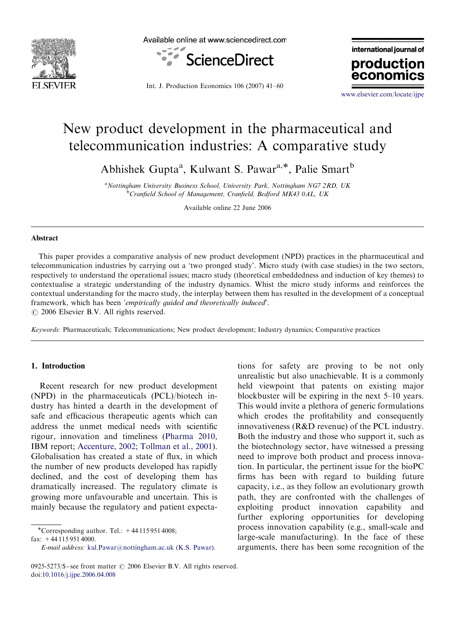



Int. J. Production Economics 106 (2007) 41–60

international journal of production econor

<www.elsevier.com/locate/ijpe>

## New product development in the pharmaceutical and telecommunication industries: A comparative study

Abhishek Gupta<sup>a</sup>, Kulwant S. Pawar<sup>a,\*</sup>, Palie Smart<sup>b</sup>

<sup>a</sup>Nottingham University Business School, University Park, Nottingham NG7 2RD, UK <sup>b</sup> Cranfield School of Management, Cranfield, Bedford MK43 0AL, UK

Available online 22 June 2006

#### Abstract

This paper provides a comparative analysis of new product development (NPD) practices in the pharmaceutical and telecommunication industries by carrying out a 'two pronged study'. Micro study (with case studies) in the two sectors, respectively to understand the operational issues; macro study (theoretical embeddedness and induction of key themes) to contextualise a strategic understanding of the industry dynamics. Whist the micro study informs and reinforces the contextual understanding for the macro study, the interplay between them has resulted in the development of a conceptual framework, which has been 'empirically guided and theoretically induced'.

 $O$  2006 Elsevier B.V. All rights reserved.

Keywords: Pharmaceuticals; Telecommunications; New product development; Industry dynamics; Comparative practices

### 1. Introduction

Recent research for new product development (NPD) in the pharmaceuticals (PCL)/biotech industry has hinted a dearth in the development of safe and efficacious therapeutic agents which can address the unmet medical needs with scientific rigour, innovation and timeliness [\(Pharma 2010](#page--1-0), IBM report; [Accenture, 2002;](#page--1-0) [Tollman et al., 2001\)](#page--1-0). Globalisation has created a state of flux, in which the number of new products developed has rapidly declined, and the cost of developing them has dramatically increased. The regulatory climate is growing more unfavourable and uncertain. This is mainly because the regulatory and patient expecta-

fax: +44 115 951 4000.

tions for safety are proving to be not only unrealistic but also unachievable. It is a commonly held viewpoint that patents on existing major blockbuster will be expiring in the next 5–10 years. This would invite a plethora of generic formulations which erodes the profitability and consequently innovativeness (R&D revenue) of the PCL industry. Both the industry and those who support it, such as the biotechnology sector, have witnessed a pressing need to improve both product and process innovation. In particular, the pertinent issue for the bioPC firms has been with regard to building future capacity, i.e., as they follow an evolutionary growth path, they are confronted with the challenges of exploiting product innovation capability and further exploring opportunities for developing process innovation capability (e.g., small-scale and large-scale manufacturing). In the face of these arguments, there has been some recognition of the

<sup>-</sup>Corresponding author. Tel.: +44 115 951 4008;

E-mail address: [kul.Pawar@nottingham.ac.uk \(K.S. Pawar\).](mailto:kul.Pawar@nottingham.ac.uk)

<sup>0925-5273/\$ -</sup> see front matter  $\odot$  2006 Elsevier B.V. All rights reserved. doi:[10.1016/j.ijpe.2006.04.008](dx.doi.org/10.1016/j.ijpe.2006.04.008)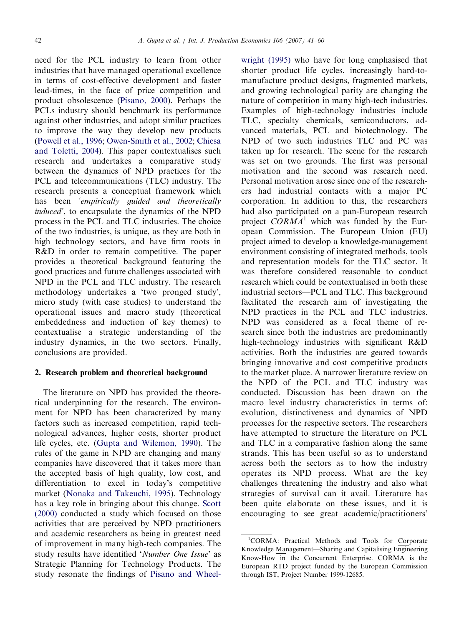need for the PCL industry to learn from other industries that have managed operational excellence in terms of cost-effective development and faster lead-times, in the face of price competition and product obsolescence [\(Pisano, 2000\)](#page--1-0). Perhaps the PCLs industry should benchmark its performance against other industries, and adopt similar practices to improve the way they develop new products ([Powell et al., 1996](#page--1-0); [Owen-Smith et al., 2002](#page--1-0); [Chiesa](#page--1-0) [and Toletti, 2004](#page--1-0)). This paper contextualises such research and undertakes a comparative study between the dynamics of NPD practices for the PCL and telecommunications (TLC) industry. The research presents a conceptual framework which has been 'empirically guided and theoretically induced', to encapsulate the dynamics of the NPD process in the PCL and TLC industries. The choice of the two industries, is unique, as they are both in high technology sectors, and have firm roots in R&D in order to remain competitive. The paper provides a theoretical background featuring the good practices and future challenges associated with NPD in the PCL and TLC industry. The research methodology undertakes a 'two pronged study', micro study (with case studies) to understand the operational issues and macro study (theoretical embeddedness and induction of key themes) to contextualise a strategic understanding of the industry dynamics, in the two sectors. Finally, conclusions are provided.

### 2. Research problem and theoretical background

The literature on NPD has provided the theoretical underpinning for the research. The environment for NPD has been characterized by many factors such as increased competition, rapid technological advances, higher costs, shorter product life cycles, etc. ([Gupta and Wilemon, 1990\)](#page--1-0). The rules of the game in NPD are changing and many companies have discovered that it takes more than the accepted basis of high quality, low cost, and differentiation to excel in today's competitive market [\(Nonaka and Takeuchi, 1995\)](#page--1-0). Technology has a key role in bringing about this change. [Scott](#page--1-0) [\(2000\)](#page--1-0) conducted a study which focused on those activities that are perceived by NPD practitioners and academic researchers as being in greatest need of improvement in many high-tech companies. The study results have identified 'Number One Issue' as Strategic Planning for Technology Products. The study resonate the findings of [Pisano and Wheel-](#page--1-0) [wright \(1995\)](#page--1-0) who have for long emphasised that shorter product life cycles, increasingly hard-tomanufacture product designs, fragmented markets, and growing technological parity are changing the nature of competition in many high-tech industries. Examples of high-technology industries include TLC, specialty chemicals, semiconductors, advanced materials, PCL and biotechnology. The NPD of two such industries TLC and PC was taken up for research. The scene for the research was set on two grounds. The first was personal motivation and the second was research need. Personal motivation arose since one of the researchers had industrial contacts with a major PC corporation. In addition to this, the researchers had also participated on a pan-European research project  $CORMA<sup>1</sup>$  which was funded by the European Commission. The European Union (EU) project aimed to develop a knowledge-management environment consisting of integrated methods, tools and representation models for the TLC sector. It was therefore considered reasonable to conduct research which could be contextualised in both these industrial sectors—PCL and TLC. This background facilitated the research aim of investigating the NPD practices in the PCL and TLC industries. NPD was considered as a focal theme of research since both the industries are predominantly high-technology industries with significant R&D activities. Both the industries are geared towards bringing innovative and cost competitive products to the market place. A narrower literature review on the NPD of the PCL and TLC industry was conducted. Discussion has been drawn on the macro level industry characteristics in terms of: evolution, distinctiveness and dynamics of NPD processes for the respective sectors. The researchers have attempted to structure the literature on PCL and TLC in a comparative fashion along the same strands. This has been useful so as to understand across both the sectors as to how the industry operates its NPD process. What are the key challenges threatening the industry and also what strategies of survival can it avail. Literature has been quite elaborate on these issues, and it is encouraging to see great academic/practitioners'

<sup>&</sup>lt;sup>1</sup>CORMA: Practical Methods and Tools for Corporate Knowledge Management—Sharing and Capitalising Engineering Know-How in the Concurrent Enterprise. CORMA is the European RTD project funded by the European Commission through IST, Project Number 1999-12685.